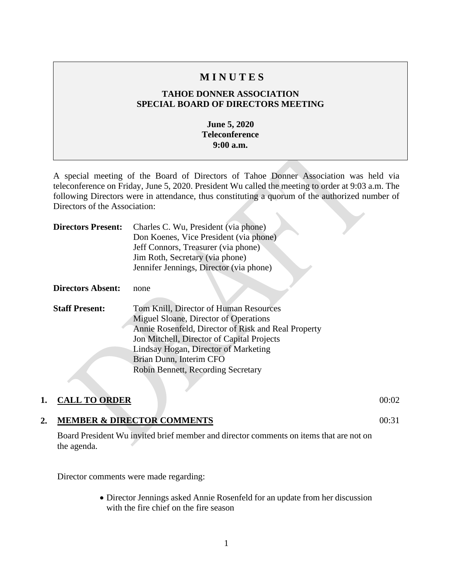## **M I N U T E S**

## **TAHOE DONNER ASSOCIATION SPECIAL BOARD OF DIRECTORS MEETING**

### **June 5, 2020 Teleconference 9:00 a.m.**

A special meeting of the Board of Directors of Tahoe Donner Association was held via teleconference on Friday, June 5, 2020. President Wu called the meeting to order at 9:03 a.m. The following Directors were in attendance, thus constituting a quorum of the authorized number of Directors of the Association:

| <b>Directors Present:</b> | Charles C. Wu, President (via phone)<br>Don Koenes, Vice President (via phone)<br>Jeff Connors, Treasurer (via phone)<br>Jim Roth, Secretary (via phone)<br>Jennifer Jennings, Director (via phone)                                                                                           |
|---------------------------|-----------------------------------------------------------------------------------------------------------------------------------------------------------------------------------------------------------------------------------------------------------------------------------------------|
| <b>Directors Absent:</b>  | none                                                                                                                                                                                                                                                                                          |
| <b>Staff Present:</b>     | Tom Knill, Director of Human Resources<br>Miguel Sloane, Director of Operations<br>Annie Rosenfeld, Director of Risk and Real Property<br>Jon Mitchell, Director of Capital Projects<br>Lindsay Hogan, Director of Marketing<br>Brian Dunn, Interim CFO<br>Robin Bennett, Recording Secretary |

## **1. CALL TO ORDER** 00:02

## **2. MEMBER & DIRECTOR COMMENTS**

Board President Wu invited brief member and director comments on items that are not on the agenda.

Director comments were made regarding:

• Director Jennings asked Annie Rosenfeld for an update from her discussion with the fire chief on the fire season

1

00:31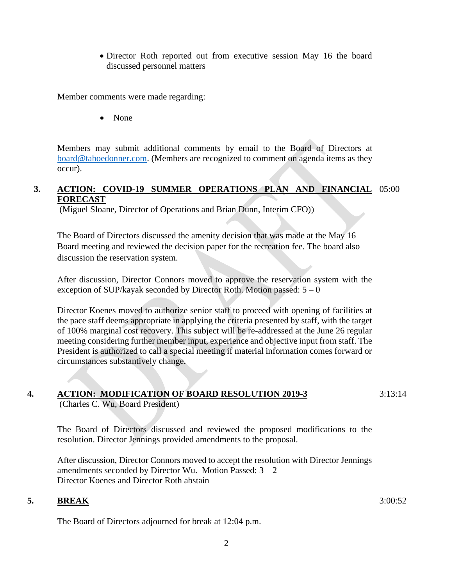• Director Roth reported out from executive session May 16 the board discussed personnel matters

Member comments were made regarding:

• None

Members may submit additional comments by email to the Board of Directors at [board@tahoedonner.com.](mailto:board@tahoedonner.com) (Members are recognized to comment on agenda items as they occur).

## **3. ACTION: COVID-19 SUMMER OPERATIONS PLAN AND FINANCIAL**  05:00 **FORECAST**

(Miguel Sloane, Director of Operations and Brian Dunn, Interim CFO))

The Board of Directors discussed the amenity decision that was made at the May 16 Board meeting and reviewed the decision paper for the recreation fee. The board also discussion the reservation system.

After discussion, Director Connors moved to approve the reservation system with the exception of SUP/kayak seconded by Director Roth. Motion passed:  $5 - 0$ 

Director Koenes moved to authorize senior staff to proceed with opening of facilities at the pace staff deems appropriate in applying the criteria presented by staff, with the target of 100% marginal cost recovery. This subject will be re-addressed at the June 26 regular meeting considering further member input, experience and objective input from staff. The President is authorized to call a special meeting if material information comes forward or circumstances substantively change.

#### **4. ACTION: MODIFICATION OF BOARD RESOLUTION 2019-3** 3:13:14

(Charles C. Wu, Board President)

The Board of Directors discussed and reviewed the proposed modifications to the resolution. Director Jennings provided amendments to the proposal.

After discussion, Director Connors moved to accept the resolution with Director Jennings amendments seconded by Director Wu. Motion Passed:  $3 - 2$ Director Koenes and Director Roth abstain

#### **5. BREAK**

The Board of Directors adjourned for break at 12:04 p.m.

3:00:52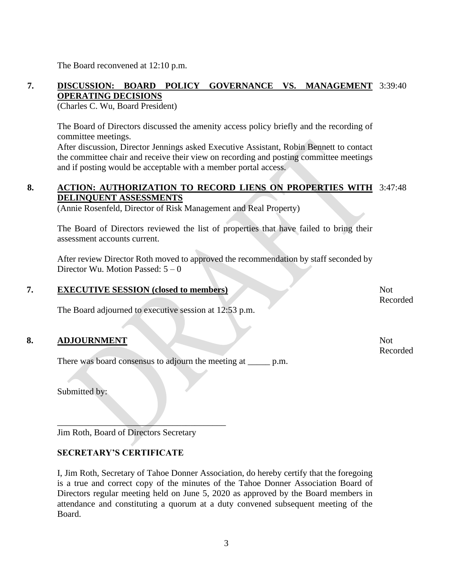The Board reconvened at 12:10 p.m.

## **7. DISCUSSION: BOARD POLICY GOVERNANCE VS. MANAGEMENT**  3:39:40 **OPERATING DECISIONS**

(Charles C. Wu, Board President)

The Board of Directors discussed the amenity access policy briefly and the recording of committee meetings.

After discussion, Director Jennings asked Executive Assistant, Robin Bennett to contact the committee chair and receive their view on recording and posting committee meetings and if posting would be acceptable with a member portal access.

## **8. ACTION: AUTHORIZATION TO RECORD LIENS ON PROPERTIES WITH**  3:47:48 **DELINQUENT ASSESSMENTS**

(Annie Rosenfeld, Director of Risk Management and Real Property)

The Board of Directors reviewed the list of properties that have failed to bring their assessment accounts current.

After review Director Roth moved to approved the recommendation by staff seconded by Director Wu. Motion Passed:  $5 - 0$ 

### **7. EXECUTIVE SESSION (closed to members)**

The Board adjourned to executive session at 12:53 p.m.

## **8. ADJOURNMENT**

There was board consensus to adjourn the meeting at \_\_\_\_\_\_ p.m.

Submitted by:

Jim Roth, Board of Directors Secretary

 $\overline{\phantom{a}}$ 

## **SECRETARY'S CERTIFICATE**

I, Jim Roth, Secretary of Tahoe Donner Association, do hereby certify that the foregoing is a true and correct copy of the minutes of the Tahoe Donner Association Board of Directors regular meeting held on June 5, 2020 as approved by the Board members in attendance and constituting a quorum at a duty convened subsequent meeting of the Board.

Not Recorded

Not Recorded